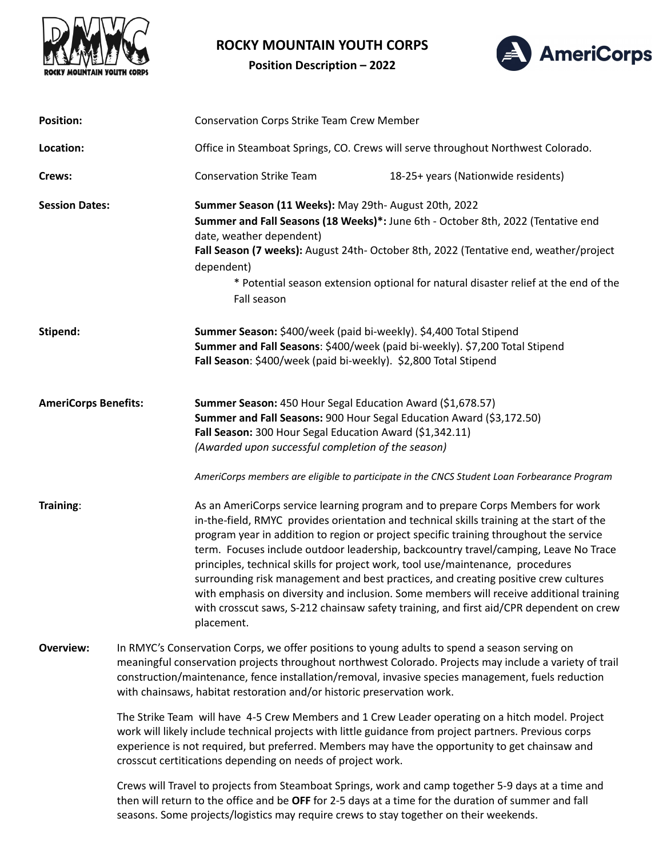

## **ROCKY MOUNTAIN YOUTH CORPS**

**Position Description – 2022**



| <b>Position:</b>            |                                                                                                                                                                                                                                                                                                                                                                              | <b>Conservation Corps Strike Team Crew Member</b>                                                                                                                                                                                                                                                                                                                                        |                                                                                                                                                                                                                                                                                                                                                                                                                                                                                                                                                                                                                                             |
|-----------------------------|------------------------------------------------------------------------------------------------------------------------------------------------------------------------------------------------------------------------------------------------------------------------------------------------------------------------------------------------------------------------------|------------------------------------------------------------------------------------------------------------------------------------------------------------------------------------------------------------------------------------------------------------------------------------------------------------------------------------------------------------------------------------------|---------------------------------------------------------------------------------------------------------------------------------------------------------------------------------------------------------------------------------------------------------------------------------------------------------------------------------------------------------------------------------------------------------------------------------------------------------------------------------------------------------------------------------------------------------------------------------------------------------------------------------------------|
| Location:                   |                                                                                                                                                                                                                                                                                                                                                                              | Office in Steamboat Springs, CO. Crews will serve throughout Northwest Colorado.                                                                                                                                                                                                                                                                                                         |                                                                                                                                                                                                                                                                                                                                                                                                                                                                                                                                                                                                                                             |
| Crews:                      |                                                                                                                                                                                                                                                                                                                                                                              | <b>Conservation Strike Team</b>                                                                                                                                                                                                                                                                                                                                                          | 18-25+ years (Nationwide residents)                                                                                                                                                                                                                                                                                                                                                                                                                                                                                                                                                                                                         |
| <b>Session Dates:</b>       |                                                                                                                                                                                                                                                                                                                                                                              | Summer Season (11 Weeks): May 29th- August 20th, 2022<br>Summer and Fall Seasons (18 Weeks)*: June 6th - October 8th, 2022 (Tentative end<br>date, weather dependent)<br>Fall Season (7 weeks): August 24th- October 8th, 2022 (Tentative end, weather/project<br>dependent)<br>* Potential season extension optional for natural disaster relief at the end of the<br>Fall season       |                                                                                                                                                                                                                                                                                                                                                                                                                                                                                                                                                                                                                                             |
| Stipend:                    |                                                                                                                                                                                                                                                                                                                                                                              | Summer Season: \$400/week (paid bi-weekly). \$4,400 Total Stipend<br>Summer and Fall Seasons: \$400/week (paid bi-weekly). \$7,200 Total Stipend<br>Fall Season: \$400/week (paid bi-weekly). \$2,800 Total Stipend                                                                                                                                                                      |                                                                                                                                                                                                                                                                                                                                                                                                                                                                                                                                                                                                                                             |
| <b>AmeriCorps Benefits:</b> |                                                                                                                                                                                                                                                                                                                                                                              | Summer Season: 450 Hour Segal Education Award (\$1,678.57)<br>Summer and Fall Seasons: 900 Hour Segal Education Award (\$3,172.50)<br>Fall Season: 300 Hour Segal Education Award (\$1,342.11)<br>(Awarded upon successful completion of the season)<br>AmeriCorps members are eligible to participate in the CNCS Student Loan Forbearance Program                                      |                                                                                                                                                                                                                                                                                                                                                                                                                                                                                                                                                                                                                                             |
| Training:                   |                                                                                                                                                                                                                                                                                                                                                                              | principles, technical skills for project work, tool use/maintenance, procedures<br>placement.                                                                                                                                                                                                                                                                                            | As an AmeriCorps service learning program and to prepare Corps Members for work<br>in-the-field, RMYC provides orientation and technical skills training at the start of the<br>program year in addition to region or project specific training throughout the service<br>term. Focuses include outdoor leadership, backcountry travel/camping, Leave No Trace<br>surrounding risk management and best practices, and creating positive crew cultures<br>with emphasis on diversity and inclusion. Some members will receive additional training<br>with crosscut saws, S-212 chainsaw safety training, and first aid/CPR dependent on crew |
| <b>Overview:</b>            |                                                                                                                                                                                                                                                                                                                                                                              | In RMYC's Conservation Corps, we offer positions to young adults to spend a season serving on<br>meaningful conservation projects throughout northwest Colorado. Projects may include a variety of trail<br>construction/maintenance, fence installation/removal, invasive species management, fuels reduction<br>with chainsaws, habitat restoration and/or historic preservation work. |                                                                                                                                                                                                                                                                                                                                                                                                                                                                                                                                                                                                                                             |
|                             | The Strike Team will have 4-5 Crew Members and 1 Crew Leader operating on a hitch model. Project<br>work will likely include technical projects with little guidance from project partners. Previous corps<br>experience is not required, but preferred. Members may have the opportunity to get chainsaw and<br>crosscut certitications depending on needs of project work. |                                                                                                                                                                                                                                                                                                                                                                                          |                                                                                                                                                                                                                                                                                                                                                                                                                                                                                                                                                                                                                                             |
|                             | Crews will Travel to projects from Steamboat Springs, work and camp together 5-9 days at a time and<br>then will return to the office and be OFF for 2-5 days at a time for the duration of summer and fall<br>seasons. Some projects/logistics may require crews to stay together on their weekends.                                                                        |                                                                                                                                                                                                                                                                                                                                                                                          |                                                                                                                                                                                                                                                                                                                                                                                                                                                                                                                                                                                                                                             |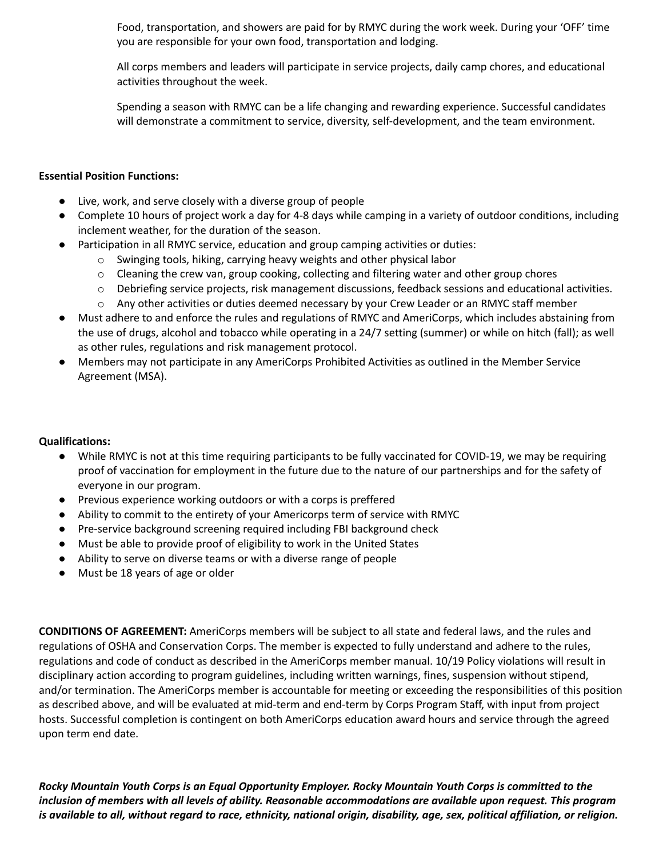Food, transportation, and showers are paid for by RMYC during the work week. During your 'OFF' time you are responsible for your own food, transportation and lodging.

All corps members and leaders will participate in service projects, daily camp chores, and educational activities throughout the week.

Spending a season with RMYC can be a life changing and rewarding experience. Successful candidates will demonstrate a commitment to service, diversity, self-development, and the team environment.

## **Essential Position Functions:**

- Live, work, and serve closely with a diverse group of people
- Complete 10 hours of project work a day for 4-8 days while camping in a variety of outdoor conditions, including inclement weather, for the duration of the season.
- Participation in all RMYC service, education and group camping activities or duties:
	- o Swinging tools, hiking, carrying heavy weights and other physical labor
	- $\circ$  Cleaning the crew van, group cooking, collecting and filtering water and other group chores
	- o Debriefing service projects, risk management discussions, feedback sessions and educational activities.
	- o Any other activities or duties deemed necessary by your Crew Leader or an RMYC staff member
- Must adhere to and enforce the rules and regulations of RMYC and AmeriCorps, which includes abstaining from the use of drugs, alcohol and tobacco while operating in a 24/7 setting (summer) or while on hitch (fall); as well as other rules, regulations and risk management protocol.
- Members may not participate in any AmeriCorps Prohibited Activities as outlined in the Member Service Agreement (MSA).

## **Qualifications:**

- While RMYC is not at this time requiring participants to be fully vaccinated for COVID-19, we may be requiring proof of vaccination for employment in the future due to the nature of our partnerships and for the safety of everyone in our program.
- Previous experience working outdoors or with a corps is preffered
- Ability to commit to the entirety of your Americorps term of service with RMYC
- Pre-service background screening required including FBI background check
- Must be able to provide proof of eligibility to work in the United States
- Ability to serve on diverse teams or with a diverse range of people
- Must be 18 years of age or older

**CONDITIONS OF AGREEMENT:** AmeriCorps members will be subject to all state and federal laws, and the rules and regulations of OSHA and Conservation Corps. The member is expected to fully understand and adhere to the rules, regulations and code of conduct as described in the AmeriCorps member manual. 10/19 Policy violations will result in disciplinary action according to program guidelines, including written warnings, fines, suspension without stipend, and/or termination. The AmeriCorps member is accountable for meeting or exceeding the responsibilities of this position as described above, and will be evaluated at mid-term and end-term by Corps Program Staff, with input from project hosts. Successful completion is contingent on both AmeriCorps education award hours and service through the agreed upon term end date.

Rocky Mountain Youth Corps is an Equal Opportunity Employer. Rocky Mountain Youth Corps is committed to the inclusion of members with all levels of ability. Reasonable accommodations are available upon request. This program is available to all, without regard to race, ethnicity, national origin, disability, age, sex, political affiliation, or religion.